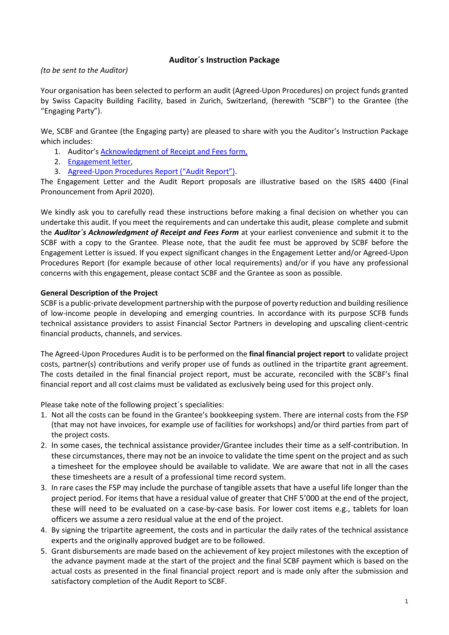# **Auditor´s Instruction Package**

*(to be sent to the Auditor)*

Your organisation has been selected to perform an audit (Agreed-Upon Procedures) on project funds granted by Swiss Capacity Building Facility, based in Zurich, Switzerland, (herewith "SCBF") to the Grantee (the "Engaging Party").

We, SCBF and Grantee (the Engaging party) are pleased to share with you the Auditor's Instruction Package which includes:

- 1. Auditor's **Acknowledgment of Receipt and Fees form**,
- 2. Engagement letter,
- 3. Agreed-Upon Procedures Report ("Audit Report").

The Engagement Letter and the Audit Report proposals are illustrative based on the ISRS 4400 (Final Pronouncement from April 2020).

We kindly ask you to carefully read these instructions before making a final decision on whether you can undertake this audit. If you meet the requirements and can undertake this audit, please complete and submit the *Auditor´s Acknowledgment of Receipt and Fees Form* at your earliest convenience and submit it to the SCBF with a copy to the Grantee. Please note, that the audit fee must be approved by SCBF before the Engagement Letter is issued. If you expect significant changes in the Engagement Letter and/or Agreed-Upon Procedures Report (for example because of other local requirements) and/or if you have any professional concerns with this engagement, please contact SCBF and the Grantee as soon as possible.

## **General Description of the Project**

SCBF is a public-private development partnership with the purpose of poverty reduction and building resilience of low-income people in developing and emerging countries. In accordance with its purpose SCFB funds technical assistance providers to assist Financial Sector Partners in developing and upscaling client-centric financial products, channels, and services.

The Agreed-Upon Procedures Audit is to be performed on the **final financial project report** to validate project costs, partner(s) contributions and verify proper use of funds as outlined in the tripartite grant agreement. The costs detailed in the final financial project report, must be accurate, reconciled with the SCBF's final financial report and all cost claims must be validated as exclusively being used for this project only.

Please take note of the following project´s specialities:

- 1. Not all the costs can be found in the Grantee's bookkeeping system. There are internal costs from the FSP (that may not have invoices, for example use of facilities for workshops) and/or third parties from part of the project costs.
- 2. In some cases, the technical assistance provider/Grantee includes their time as a self-contribution. In these circumstances, there may not be an invoice to validate the time spent on the project and as such a timesheet for the employee should be available to validate. We are aware that not in all the cases these timesheets are a result of a professional time record system.
- 3. In rare cases the FSP may include the purchase of tangible assets that have a useful life longer than the project period. For items that have a residual value of greater that CHF 5'000 at the end of the project, these will need to be evaluated on a case-by-case basis. For lower cost items e.g., tablets for loan officers we assume a zero residual value at the end of the project.
- 4. By signing the tripartite agreement, the costs and in particular the daily rates of the technical assistance experts and the originally approved budget are to be followed.
- 5. Grant disbursements are made based on the achievement of key project milestones with the exception of the advance payment made at the start of the project and the final SCBF payment which is based on the actual costs as presented in the final financial project report and is made only after the submission and satisfactory completion of the Audit Report to SCBF.